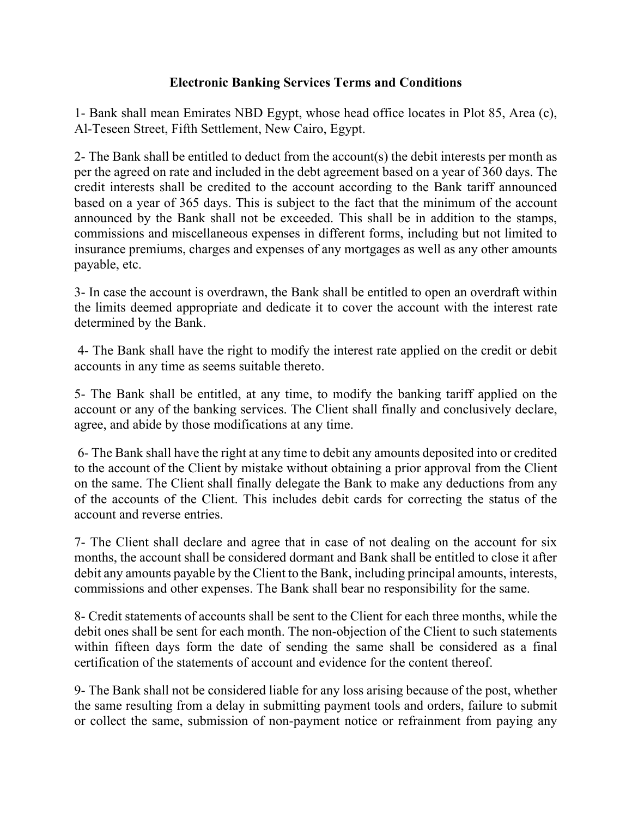## **Electronic Banking Services Terms and Conditions**

1- Bank shall mean Emirates NBD Egypt, whose head office locates in Plot 85, Area (c), Al-Teseen Street, Fifth Settlement, New Cairo, Egypt.

2- The Bank shall be entitled to deduct from the account(s) the debit interests per month as per the agreed on rate and included in the debt agreement based on a year of 360 days. The credit interests shall be credited to the account according to the Bank tariff announced based on a year of 365 days. This is subject to the fact that the minimum of the account announced by the Bank shall not be exceeded. This shall be in addition to the stamps, commissions and miscellaneous expenses in different forms, including but not limited to insurance premiums, charges and expenses of any mortgages as well as any other amounts payable, etc.

3- In case the account is overdrawn, the Bank shall be entitled to open an overdraft within the limits deemed appropriate and dedicate it to cover the account with the interest rate determined by the Bank.

4- The Bank shall have the right to modify the interest rate applied on the credit or debit accounts in any time as seems suitable thereto.

5- The Bank shall be entitled, at any time, to modify the banking tariff applied on the account or any of the banking services. The Client shall finally and conclusively declare, agree, and abide by those modifications at any time.

6- The Bank shall have the right at any time to debit any amounts deposited into or credited to the account of the Client by mistake without obtaining a prior approval from the Client on the same. The Client shall finally delegate the Bank to make any deductions from any of the accounts of the Client. This includes debit cards for correcting the status of the account and reverse entries.

7- The Client shall declare and agree that in case of not dealing on the account for six months, the account shall be considered dormant and Bank shall be entitled to close it after debit any amounts payable by the Client to the Bank, including principal amounts, interests, commissions and other expenses. The Bank shall bear no responsibility for the same.

8- Credit statements of accounts shall be sent to the Client for each three months, while the debit ones shall be sent for each month. The non-objection of the Client to such statements within fifteen days form the date of sending the same shall be considered as a final certification of the statements of account and evidence for the content thereof.

9- The Bank shall not be considered liable for any loss arising because of the post, whether the same resulting from a delay in submitting payment tools and orders, failure to submit or collect the same, submission of non-payment notice or refrainment from paying any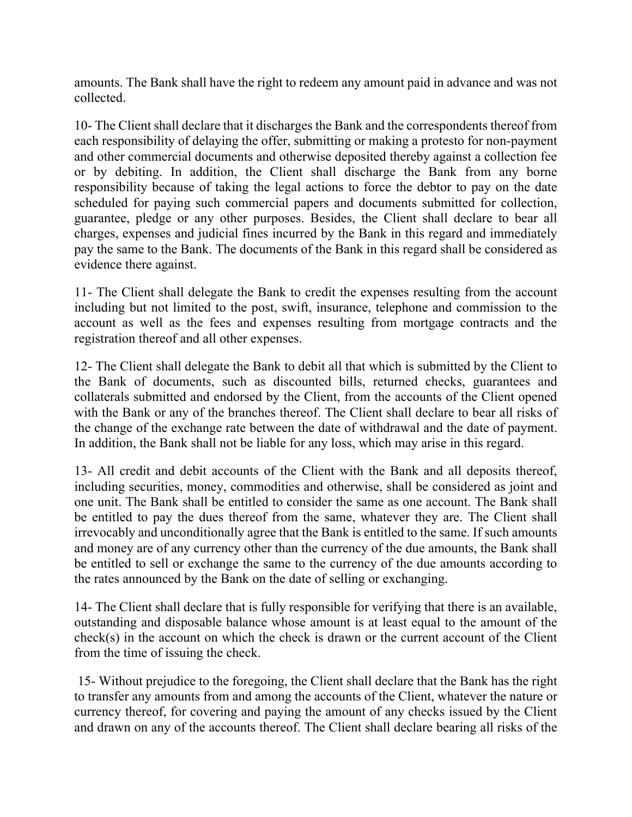amounts. The Bank shall have the right to redeem any amount paid in advance and was not collected.

10- The Client shall declare that it discharges the Bank and the correspondents thereof from each responsibility of delaying the offer, submitting or making a protesto for non-payment and other commercial documents and otherwise deposited thereby against a collection fee or by debiting. In addition, the Client shall discharge the Bank from any borne responsibility because of taking the legal actions to force the debtor to pay on the date scheduled for paying such commercial papers and documents submitted for collection, guarantee, pledge or any other purposes. Besides, the Client shall declare to bear all charges, expenses and judicial fines incurred by the Bank in this regard and immediately pay the same to the Bank. The documents of the Bank in this regard shall be considered as evidence there against.

11- The Client shall delegate the Bank to credit the expenses resulting from the account including but not limited to the post, swift, insurance, telephone and commission to the account as well as the fees and expenses resulting from mortgage contracts and the registration thereof and all other expenses.

12- The Client shall delegate the Bank to debit all that which is submitted by the Client to the Bank of documents, such as discounted bills, returned checks, guarantees and collaterals submitted and endorsed by the Client, from the accounts of the Client opened with the Bank or any of the branches thereof. The Client shall declare to bear all risks of the change of the exchange rate between the date of withdrawal and the date of payment. In addition, the Bank shall not be liable for any loss, which may arise in this regard.

13- All credit and debit accounts of the Client with the Bank and all deposits thereof, including securities, money, commodities and otherwise, shall be considered as joint and one unit. The Bank shall be entitled to consider the same as one account. The Bank shall be entitled to pay the dues thereof from the same, whatever they are. The Client shall irrevocably and unconditionally agree that the Bank is entitled to the same. If such amounts and money are of any currency other than the currency of the due amounts, the Bank shall be entitled to sell or exchange the same to the currency of the due amounts according to the rates announced by the Bank on the date of selling or exchanging.

14- The Client shall declare that is fully responsible for verifying that there is an available, outstanding and disposable balance whose amount is at least equal to the amount of the check(s) in the account on which the check is drawn or the current account of the Client from the time of issuing the check.

15- Without prejudice to the foregoing, the Client shall declare that the Bank has the right to transfer any amounts from and among the accounts of the Client, whatever the nature or currency thereof, for covering and paying the amount of any checks issued by the Client and drawn on any of the accounts thereof. The Client shall declare bearing all risks of the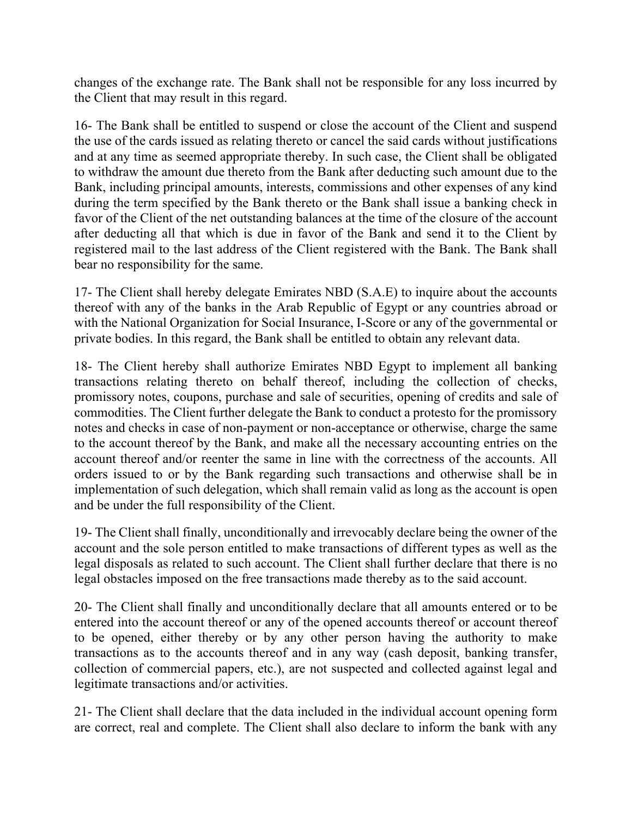changes of the exchange rate. The Bank shall not be responsible for any loss incurred by the Client that may result in this regard.

16- The Bank shall be entitled to suspend or close the account of the Client and suspend the use of the cards issued as relating thereto or cancel the said cards without justifications and at any time as seemed appropriate thereby. In such case, the Client shall be obligated to withdraw the amount due thereto from the Bank after deducting such amount due to the Bank, including principal amounts, interests, commissions and other expenses of any kind during the term specified by the Bank thereto or the Bank shall issue a banking check in favor of the Client of the net outstanding balances at the time of the closure of the account after deducting all that which is due in favor of the Bank and send it to the Client by registered mail to the last address of the Client registered with the Bank. The Bank shall bear no responsibility for the same.

17- The Client shall hereby delegate Emirates NBD (S.A.E) to inquire about the accounts thereof with any of the banks in the Arab Republic of Egypt or any countries abroad or with the National Organization for Social Insurance, I-Score or any of the governmental or private bodies. In this regard, the Bank shall be entitled to obtain any relevant data.

18- The Client hereby shall authorize Emirates NBD Egypt to implement all banking transactions relating thereto on behalf thereof, including the collection of checks, promissory notes, coupons, purchase and sale of securities, opening of credits and sale of commodities. The Client further delegate the Bank to conduct a protesto for the promissory notes and checks in case of non-payment or non-acceptance or otherwise, charge the same to the account thereof by the Bank, and make all the necessary accounting entries on the account thereof and/or reenter the same in line with the correctness of the accounts. All orders issued to or by the Bank regarding such transactions and otherwise shall be in implementation of such delegation, which shall remain valid as long as the account is open and be under the full responsibility of the Client.

19- The Client shall finally, unconditionally and irrevocably declare being the owner of the account and the sole person entitled to make transactions of different types as well as the legal disposals as related to such account. The Client shall further declare that there is no legal obstacles imposed on the free transactions made thereby as to the said account.

20- The Client shall finally and unconditionally declare that all amounts entered or to be entered into the account thereof or any of the opened accounts thereof or account thereof to be opened, either thereby or by any other person having the authority to make transactions as to the accounts thereof and in any way (cash deposit, banking transfer, collection of commercial papers, etc.), are not suspected and collected against legal and legitimate transactions and/or activities.

21- The Client shall declare that the data included in the individual account opening form are correct, real and complete. The Client shall also declare to inform the bank with any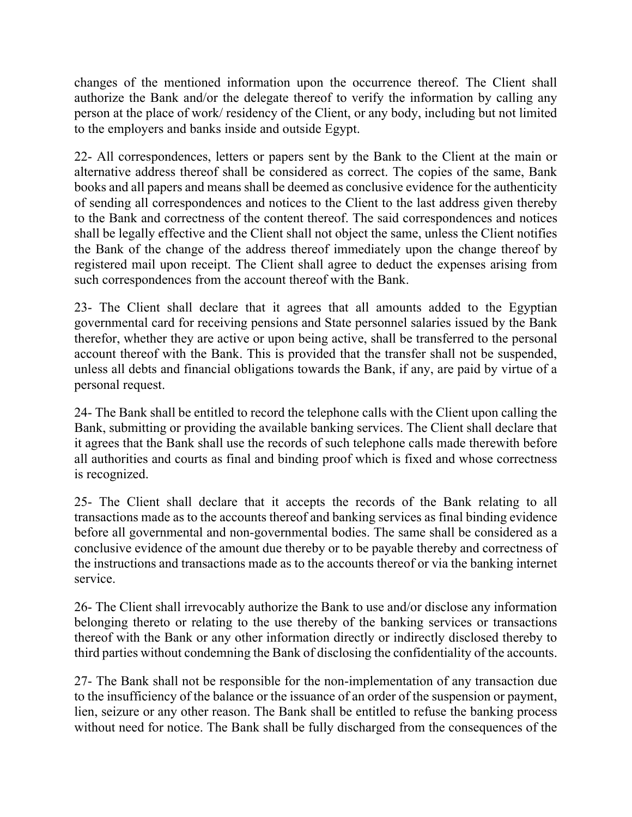changes of the mentioned information upon the occurrence thereof. The Client shall authorize the Bank and/or the delegate thereof to verify the information by calling any person at the place of work/ residency of the Client, or any body, including but not limited to the employers and banks inside and outside Egypt.

22- All correspondences, letters or papers sent by the Bank to the Client at the main or alternative address thereof shall be considered as correct. The copies of the same, Bank books and all papers and means shall be deemed as conclusive evidence for the authenticity of sending all correspondences and notices to the Client to the last address given thereby to the Bank and correctness of the content thereof. The said correspondences and notices shall be legally effective and the Client shall not object the same, unless the Client notifies the Bank of the change of the address thereof immediately upon the change thereof by registered mail upon receipt. The Client shall agree to deduct the expenses arising from such correspondences from the account thereof with the Bank.

23- The Client shall declare that it agrees that all amounts added to the Egyptian governmental card for receiving pensions and State personnel salaries issued by the Bank therefor, whether they are active or upon being active, shall be transferred to the personal account thereof with the Bank. This is provided that the transfer shall not be suspended, unless all debts and financial obligations towards the Bank, if any, are paid by virtue of a personal request.

24- The Bank shall be entitled to record the telephone calls with the Client upon calling the Bank, submitting or providing the available banking services. The Client shall declare that it agrees that the Bank shall use the records of such telephone calls made therewith before all authorities and courts as final and binding proof which is fixed and whose correctness is recognized.

25- The Client shall declare that it accepts the records of the Bank relating to all transactions made as to the accounts thereof and banking services as final binding evidence before all governmental and non-governmental bodies. The same shall be considered as a conclusive evidence of the amount due thereby or to be payable thereby and correctness of the instructions and transactions made as to the accounts thereof or via the banking internet service.

26- The Client shall irrevocably authorize the Bank to use and/or disclose any information belonging thereto or relating to the use thereby of the banking services or transactions thereof with the Bank or any other information directly or indirectly disclosed thereby to third parties without condemning the Bank of disclosing the confidentiality of the accounts.

27- The Bank shall not be responsible for the non-implementation of any transaction due to the insufficiency of the balance or the issuance of an order of the suspension or payment, lien, seizure or any other reason. The Bank shall be entitled to refuse the banking process without need for notice. The Bank shall be fully discharged from the consequences of the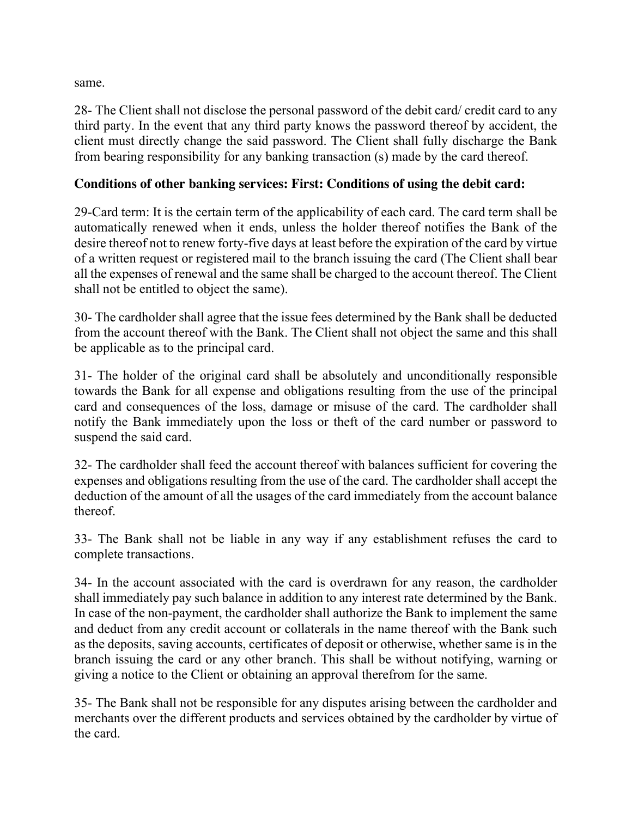same.

28- The Client shall not disclose the personal password of the debit card/ credit card to any third party. In the event that any third party knows the password thereof by accident, the client must directly change the said password. The Client shall fully discharge the Bank from bearing responsibility for any banking transaction (s) made by the card thereof.

## **Conditions of other banking services: First: Conditions of using the debit card:**

29-Card term: It is the certain term of the applicability of each card. The card term shall be automatically renewed when it ends, unless the holder thereof notifies the Bank of the desire thereof not to renew forty-five days at least before the expiration of the card by virtue of a written request or registered mail to the branch issuing the card (The Client shall bear all the expenses of renewal and the same shall be charged to the account thereof. The Client shall not be entitled to object the same).

30- The cardholder shall agree that the issue fees determined by the Bank shall be deducted from the account thereof with the Bank. The Client shall not object the same and this shall be applicable as to the principal card.

31- The holder of the original card shall be absolutely and unconditionally responsible towards the Bank for all expense and obligations resulting from the use of the principal card and consequences of the loss, damage or misuse of the card. The cardholder shall notify the Bank immediately upon the loss or theft of the card number or password to suspend the said card.

32- The cardholder shall feed the account thereof with balances sufficient for covering the expenses and obligations resulting from the use of the card. The cardholder shall accept the deduction of the amount of all the usages of the card immediately from the account balance thereof.

33- The Bank shall not be liable in any way if any establishment refuses the card to complete transactions.

34- In the account associated with the card is overdrawn for any reason, the cardholder shall immediately pay such balance in addition to any interest rate determined by the Bank. In case of the non-payment, the cardholder shall authorize the Bank to implement the same and deduct from any credit account or collaterals in the name thereof with the Bank such as the deposits, saving accounts, certificates of deposit or otherwise, whether same is in the branch issuing the card or any other branch. This shall be without notifying, warning or giving a notice to the Client or obtaining an approval therefrom for the same.

35- The Bank shall not be responsible for any disputes arising between the cardholder and merchants over the different products and services obtained by the cardholder by virtue of the card.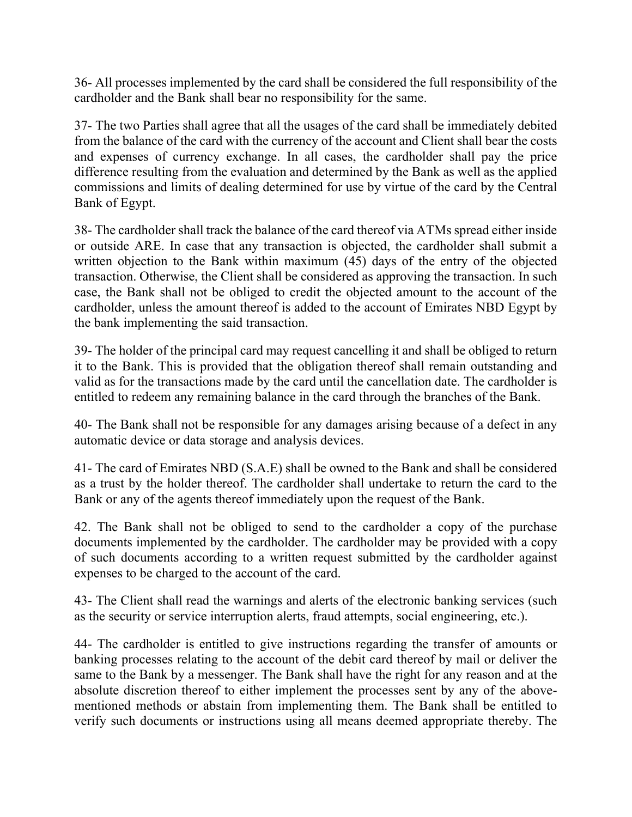36- All processes implemented by the card shall be considered the full responsibility of the cardholder and the Bank shall bear no responsibility for the same.

37- The two Parties shall agree that all the usages of the card shall be immediately debited from the balance of the card with the currency of the account and Client shall bear the costs and expenses of currency exchange. In all cases, the cardholder shall pay the price difference resulting from the evaluation and determined by the Bank as well as the applied commissions and limits of dealing determined for use by virtue of the card by the Central Bank of Egypt.

38- The cardholder shall track the balance of the card thereof via ATMs spread either inside or outside ARE. In case that any transaction is objected, the cardholder shall submit a written objection to the Bank within maximum (45) days of the entry of the objected transaction. Otherwise, the Client shall be considered as approving the transaction. In such case, the Bank shall not be obliged to credit the objected amount to the account of the cardholder, unless the amount thereof is added to the account of Emirates NBD Egypt by the bank implementing the said transaction.

39- The holder of the principal card may request cancelling it and shall be obliged to return it to the Bank. This is provided that the obligation thereof shall remain outstanding and valid as for the transactions made by the card until the cancellation date. The cardholder is entitled to redeem any remaining balance in the card through the branches of the Bank.

40- The Bank shall not be responsible for any damages arising because of a defect in any automatic device or data storage and analysis devices.

41- The card of Emirates NBD (S.A.E) shall be owned to the Bank and shall be considered as a trust by the holder thereof. The cardholder shall undertake to return the card to the Bank or any of the agents thereof immediately upon the request of the Bank.

42. The Bank shall not be obliged to send to the cardholder a copy of the purchase documents implemented by the cardholder. The cardholder may be provided with a copy of such documents according to a written request submitted by the cardholder against expenses to be charged to the account of the card.

43- The Client shall read the warnings and alerts of the electronic banking services (such as the security or service interruption alerts, fraud attempts, social engineering, etc.).

44- The cardholder is entitled to give instructions regarding the transfer of amounts or banking processes relating to the account of the debit card thereof by mail or deliver the same to the Bank by a messenger. The Bank shall have the right for any reason and at the absolute discretion thereof to either implement the processes sent by any of the abovementioned methods or abstain from implementing them. The Bank shall be entitled to verify such documents or instructions using all means deemed appropriate thereby. The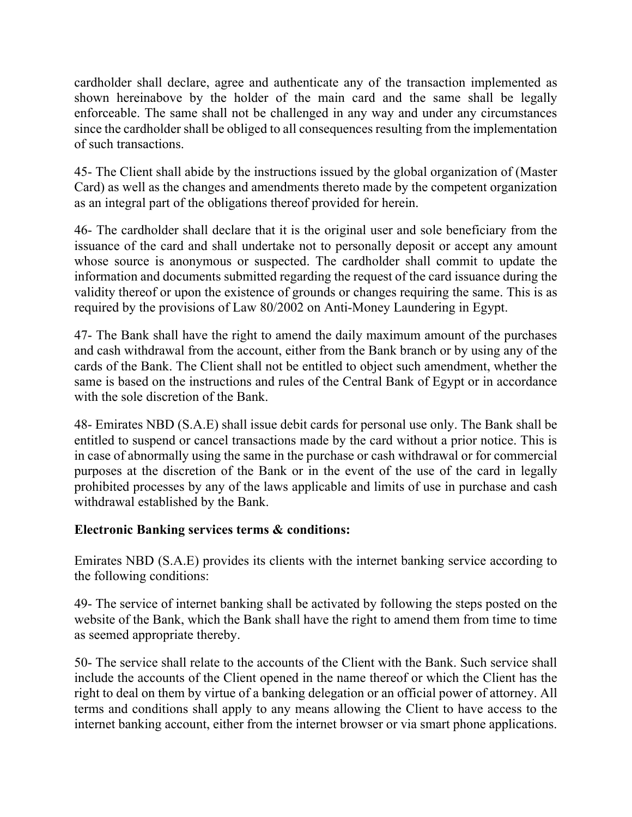cardholder shall declare, agree and authenticate any of the transaction implemented as shown hereinabove by the holder of the main card and the same shall be legally enforceable. The same shall not be challenged in any way and under any circumstances since the cardholder shall be obliged to all consequences resulting from the implementation of such transactions.

45- The Client shall abide by the instructions issued by the global organization of (Master Card) as well as the changes and amendments thereto made by the competent organization as an integral part of the obligations thereof provided for herein.

46- The cardholder shall declare that it is the original user and sole beneficiary from the issuance of the card and shall undertake not to personally deposit or accept any amount whose source is anonymous or suspected. The cardholder shall commit to update the information and documents submitted regarding the request of the card issuance during the validity thereof or upon the existence of grounds or changes requiring the same. This is as required by the provisions of Law 80/2002 on Anti-Money Laundering in Egypt.

47- The Bank shall have the right to amend the daily maximum amount of the purchases and cash withdrawal from the account, either from the Bank branch or by using any of the cards of the Bank. The Client shall not be entitled to object such amendment, whether the same is based on the instructions and rules of the Central Bank of Egypt or in accordance with the sole discretion of the Bank.

48- Emirates NBD (S.A.E) shall issue debit cards for personal use only. The Bank shall be entitled to suspend or cancel transactions made by the card without a prior notice. This is in case of abnormally using the same in the purchase or cash withdrawal or for commercial purposes at the discretion of the Bank or in the event of the use of the card in legally prohibited processes by any of the laws applicable and limits of use in purchase and cash withdrawal established by the Bank.

# **Electronic Banking services terms & conditions:**

Emirates NBD (S.A.E) provides its clients with the internet banking service according to the following conditions:

49- The service of internet banking shall be activated by following the steps posted on the website of the Bank, which the Bank shall have the right to amend them from time to time as seemed appropriate thereby.

50- The service shall relate to the accounts of the Client with the Bank. Such service shall include the accounts of the Client opened in the name thereof or which the Client has the right to deal on them by virtue of a banking delegation or an official power of attorney. All terms and conditions shall apply to any means allowing the Client to have access to the internet banking account, either from the internet browser or via smart phone applications.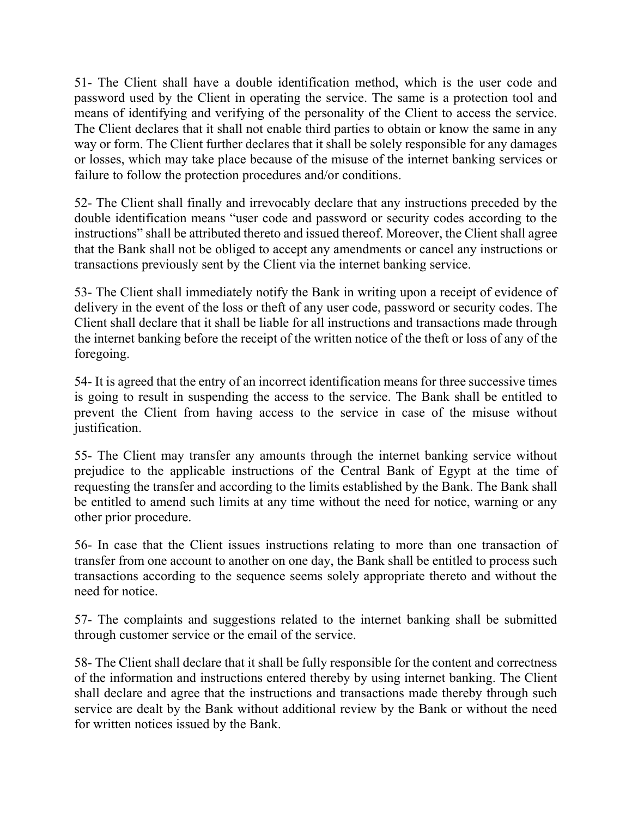51- The Client shall have a double identification method, which is the user code and password used by the Client in operating the service. The same is a protection tool and means of identifying and verifying of the personality of the Client to access the service. The Client declares that it shall not enable third parties to obtain or know the same in any way or form. The Client further declares that it shall be solely responsible for any damages or losses, which may take place because of the misuse of the internet banking services or failure to follow the protection procedures and/or conditions.

52- The Client shall finally and irrevocably declare that any instructions preceded by the double identification means "user code and password or security codes according to the instructions" shall be attributed thereto and issued thereof. Moreover, the Client shall agree that the Bank shall not be obliged to accept any amendments or cancel any instructions or transactions previously sent by the Client via the internet banking service.

53- The Client shall immediately notify the Bank in writing upon a receipt of evidence of delivery in the event of the loss or theft of any user code, password or security codes. The Client shall declare that it shall be liable for all instructions and transactions made through the internet banking before the receipt of the written notice of the theft or loss of any of the foregoing.

54- It is agreed that the entry of an incorrect identification means for three successive times is going to result in suspending the access to the service. The Bank shall be entitled to prevent the Client from having access to the service in case of the misuse without justification.

55- The Client may transfer any amounts through the internet banking service without prejudice to the applicable instructions of the Central Bank of Egypt at the time of requesting the transfer and according to the limits established by the Bank. The Bank shall be entitled to amend such limits at any time without the need for notice, warning or any other prior procedure.

56- In case that the Client issues instructions relating to more than one transaction of transfer from one account to another on one day, the Bank shall be entitled to process such transactions according to the sequence seems solely appropriate thereto and without the need for notice.

57- The complaints and suggestions related to the internet banking shall be submitted through customer service or the email of the service.

58- The Client shall declare that it shall be fully responsible for the content and correctness of the information and instructions entered thereby by using internet banking. The Client shall declare and agree that the instructions and transactions made thereby through such service are dealt by the Bank without additional review by the Bank or without the need for written notices issued by the Bank.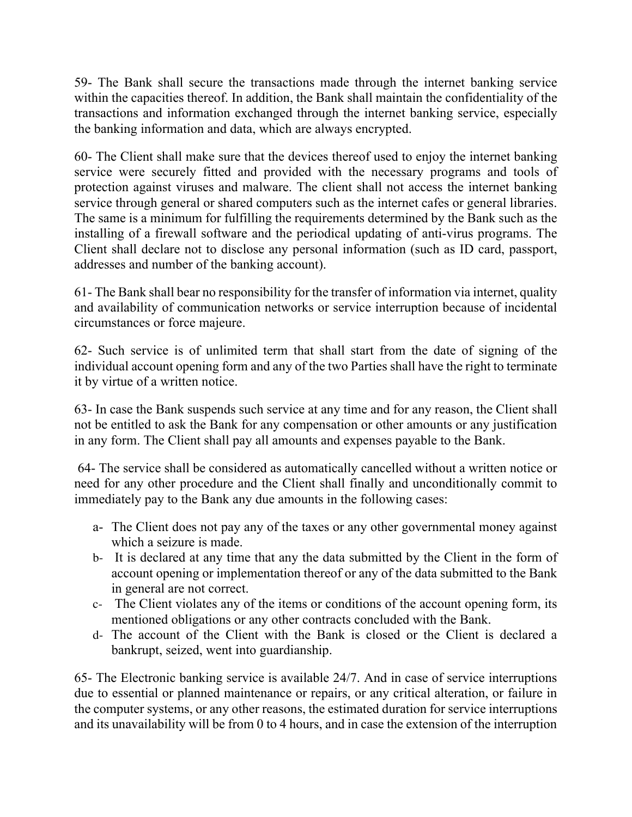59- The Bank shall secure the transactions made through the internet banking service within the capacities thereof. In addition, the Bank shall maintain the confidentiality of the transactions and information exchanged through the internet banking service, especially the banking information and data, which are always encrypted.

60- The Client shall make sure that the devices thereof used to enjoy the internet banking service were securely fitted and provided with the necessary programs and tools of protection against viruses and malware. The client shall not access the internet banking service through general or shared computers such as the internet cafes or general libraries. The same is a minimum for fulfilling the requirements determined by the Bank such as the installing of a firewall software and the periodical updating of anti-virus programs. The Client shall declare not to disclose any personal information (such as ID card, passport, addresses and number of the banking account).

61- The Bank shall bear no responsibility for the transfer of information via internet, quality and availability of communication networks or service interruption because of incidental circumstances or force majeure.

62- Such service is of unlimited term that shall start from the date of signing of the individual account opening form and any of the two Parties shall have the right to terminate it by virtue of a written notice.

63- In case the Bank suspends such service at any time and for any reason, the Client shall not be entitled to ask the Bank for any compensation or other amounts or any justification in any form. The Client shall pay all amounts and expenses payable to the Bank.

64- The service shall be considered as automatically cancelled without a written notice or need for any other procedure and the Client shall finally and unconditionally commit to immediately pay to the Bank any due amounts in the following cases:

- a- The Client does not pay any of the taxes or any other governmental money against which a seizure is made.
- b- It is declared at any time that any the data submitted by the Client in the form of account opening or implementation thereof or any of the data submitted to the Bank in general are not correct.
- c- The Client violates any of the items or conditions of the account opening form, its mentioned obligations or any other contracts concluded with the Bank.
- d- The account of the Client with the Bank is closed or the Client is declared a bankrupt, seized, went into guardianship.

65- The Electronic banking service is available 24/7. And in case of service interruptions due to essential or planned maintenance or repairs, or any critical alteration, or failure in the computer systems, or any other reasons, the estimated duration for service interruptions and its unavailability will be from 0 to 4 hours, and in case the extension of the interruption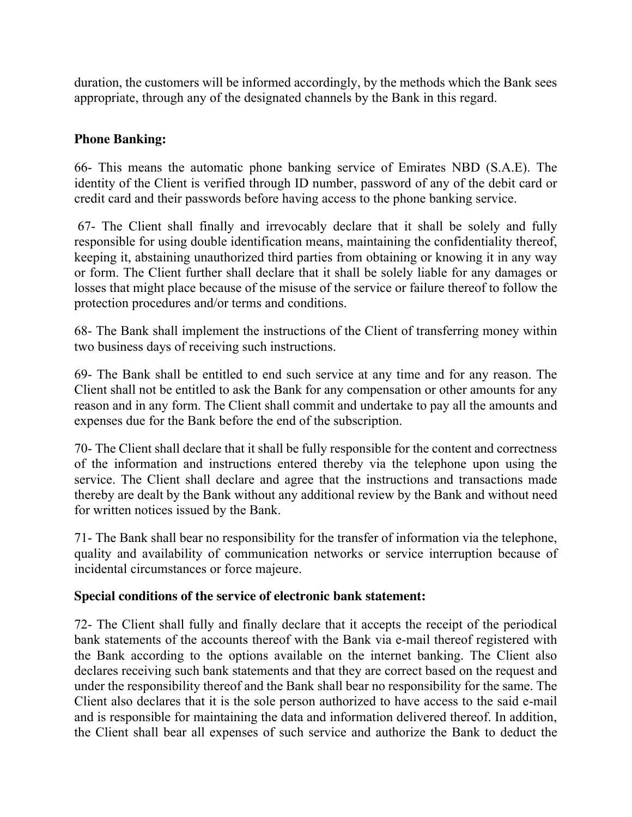duration, the customers will be informed accordingly, by the methods which the Bank sees appropriate, through any of the designated channels by the Bank in this regard.

# **Phone Banking:**

66- This means the automatic phone banking service of Emirates NBD (S.A.E). The identity of the Client is verified through ID number, password of any of the debit card or credit card and their passwords before having access to the phone banking service.

67- The Client shall finally and irrevocably declare that it shall be solely and fully responsible for using double identification means, maintaining the confidentiality thereof, keeping it, abstaining unauthorized third parties from obtaining or knowing it in any way or form. The Client further shall declare that it shall be solely liable for any damages or losses that might place because of the misuse of the service or failure thereof to follow the protection procedures and/or terms and conditions.

68- The Bank shall implement the instructions of the Client of transferring money within two business days of receiving such instructions.

69- The Bank shall be entitled to end such service at any time and for any reason. The Client shall not be entitled to ask the Bank for any compensation or other amounts for any reason and in any form. The Client shall commit and undertake to pay all the amounts and expenses due for the Bank before the end of the subscription.

70- The Client shall declare that it shall be fully responsible for the content and correctness of the information and instructions entered thereby via the telephone upon using the service. The Client shall declare and agree that the instructions and transactions made thereby are dealt by the Bank without any additional review by the Bank and without need for written notices issued by the Bank.

71- The Bank shall bear no responsibility for the transfer of information via the telephone, quality and availability of communication networks or service interruption because of incidental circumstances or force majeure.

## **Special conditions of the service of electronic bank statement:**

72- The Client shall fully and finally declare that it accepts the receipt of the periodical bank statements of the accounts thereof with the Bank via e-mail thereof registered with the Bank according to the options available on the internet banking. The Client also declares receiving such bank statements and that they are correct based on the request and under the responsibility thereof and the Bank shall bear no responsibility for the same. The Client also declares that it is the sole person authorized to have access to the said e-mail and is responsible for maintaining the data and information delivered thereof. In addition, the Client shall bear all expenses of such service and authorize the Bank to deduct the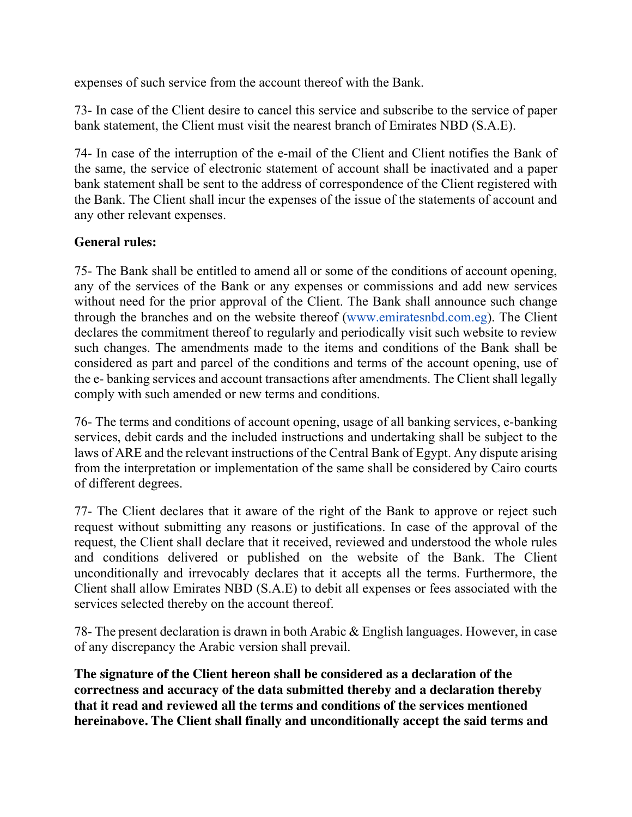expenses of such service from the account thereof with the Bank.

73- In case of the Client desire to cancel this service and subscribe to the service of paper bank statement, the Client must visit the nearest branch of Emirates NBD (S.A.E).

74- In case of the interruption of the e-mail of the Client and Client notifies the Bank of the same, the service of electronic statement of account shall be inactivated and a paper bank statement shall be sent to the address of correspondence of the Client registered with the Bank. The Client shall incur the expenses of the issue of the statements of account and any other relevant expenses.

## **General rules:**

75- The Bank shall be entitled to amend all or some of the conditions of account opening, any of the services of the Bank or any expenses or commissions and add new services without need for the prior approval of the Client. The Bank shall announce such change through the branches and on the website thereof (www.emiratesnbd.com.eg). The Client declares the commitment thereof to regularly and periodically visit such website to review such changes. The amendments made to the items and conditions of the Bank shall be considered as part and parcel of the conditions and terms of the account opening, use of the e- banking services and account transactions after amendments. The Client shall legally comply with such amended or new terms and conditions.

76- The terms and conditions of account opening, usage of all banking services, e-banking services, debit cards and the included instructions and undertaking shall be subject to the laws of ARE and the relevant instructions of the Central Bank of Egypt. Any dispute arising from the interpretation or implementation of the same shall be considered by Cairo courts of different degrees.

77- The Client declares that it aware of the right of the Bank to approve or reject such request without submitting any reasons or justifications. In case of the approval of the request, the Client shall declare that it received, reviewed and understood the whole rules and conditions delivered or published on the website of the Bank. The Client unconditionally and irrevocably declares that it accepts all the terms. Furthermore, the Client shall allow Emirates NBD (S.A.E) to debit all expenses or fees associated with the services selected thereby on the account thereof.

78- The present declaration is drawn in both Arabic & English languages. However, in case of any discrepancy the Arabic version shall prevail.

**The signature of the Client hereon shall be considered as a declaration of the correctness and accuracy of the data submitted thereby and a declaration thereby that it read and reviewed all the terms and conditions of the services mentioned hereinabove. The Client shall finally and unconditionally accept the said terms and**